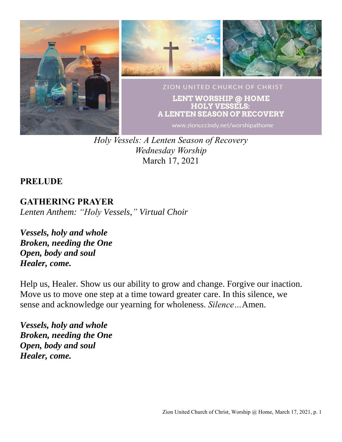

*Holy Vessels: A Lenten Season of Recovery Wednesday Worship* March 17, 2021

## **PRELUDE**

**GATHERING PRAYER** *Lenten Anthem: "Holy Vessels," Virtual Choir*

*Vessels, holy and whole Broken, needing the One Open, body and soul Healer, come.*

Help us, Healer. Show us our ability to grow and change. Forgive our inaction. Move us to move one step at a time toward greater care. In this silence, we sense and acknowledge our yearning for wholeness. *Silence…*Amen.

*Vessels, holy and whole Broken, needing the One Open, body and soul Healer, come.*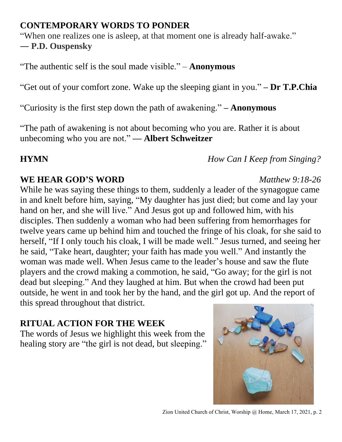## **CONTEMPORARY WORDS TO PONDER**

"When one realizes one is asleep, at that moment one is already half-awake."

― **P.D. Ouspensky**

"The authentic self is the soul made visible." – **Anonymous**

"Get out of your comfort zone. Wake up the sleeping giant in you." **– Dr T.P.Chia**

"Curiosity is the first step down the path of awakening." **– Anonymous**

"The path of awakening is not about becoming who you are. Rather it is about unbecoming who you are not." **— Albert Schweitzer**

## **HYMN** *How Can I Keep from Singing?*

# **WE HEAR GOD'S WORD** *Matthew 9:18-26*

While he was saying these things to them, suddenly a leader of the synagogue came in and knelt before him, saying, "My daughter has just died; but come and lay your hand on her, and she will live." And Jesus got up and followed him, with his disciples. Then suddenly a woman who had been suffering from hemorrhages for twelve years came up behind him and touched the fringe of his cloak, for she said to herself, "If I only touch his cloak, I will be made well." Jesus turned, and seeing her he said, "Take heart, daughter; your faith has made you well." And instantly the woman was made well. When Jesus came to the leader's house and saw the flute players and the crowd making a commotion, he said, "Go away; for the girl is not dead but sleeping." And they laughed at him. But when the crowd had been put outside, he went in and took her by the hand, and the girl got up. And the report of this spread throughout that district.

# **RITUAL ACTION FOR THE WEEK**

The words of Jesus we highlight this week from the healing story are "the girl is not dead, but sleeping."



### Zion United Church of Christ, Worship @ Home, March 17, 2021, p. 2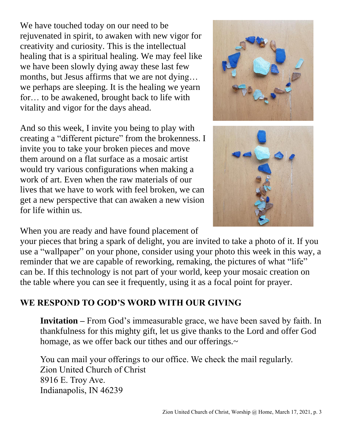We have touched today on our need to be rejuvenated in spirit, to awaken with new vigor for creativity and curiosity. This is the intellectual healing that is a spiritual healing. We may feel like we have been slowly dying away these last few months, but Jesus affirms that we are not dying… we perhaps are sleeping. It is the healing we yearn for… to be awakened, brought back to life with vitality and vigor for the days ahead.

And so this week, I invite you being to play with creating a "different picture" from the brokenness. I invite you to take your broken pieces and move them around on a flat surface as a mosaic artist would try various configurations when making a work of art. Even when the raw materials of our lives that we have to work with feel broken, we can get a new perspective that can awaken a new vision for life within us.





When you are ready and have found placement of

your pieces that bring a spark of delight, you are invited to take a photo of it. If you use a "wallpaper" on your phone, consider using your photo this week in this way, a reminder that we are capable of reworking, remaking, the pictures of what "life" can be. If this technology is not part of your world, keep your mosaic creation on the table where you can see it frequently, using it as a focal point for prayer.

## **WE RESPOND TO GOD'S WORD WITH OUR GIVING**

**Invitation –** From God's immeasurable grace, we have been saved by faith. In thankfulness for this mighty gift, let us give thanks to the Lord and offer God homage, as we offer back our tithes and our offerings.~

You can mail your offerings to our office. We check the mail regularly. Zion United Church of Christ 8916 E. Troy Ave. Indianapolis, IN 46239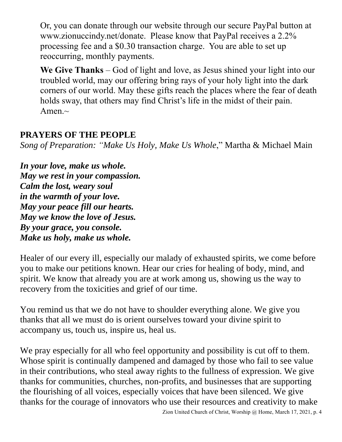Or, you can donate through our website through our secure PayPal button at www.zionuccindy.net/donate. Please know that PayPal receives a 2.2% processing fee and a \$0.30 transaction charge. You are able to set up reoccurring, monthly payments.

**We Give Thanks** – God of light and love, as Jesus shined your light into our troubled world, may our offering bring rays of your holy light into the dark corners of our world. May these gifts reach the places where the fear of death holds sway, that others may find Christ's life in the midst of their pain. Amen. $\sim$ 

## **PRAYERS OF THE PEOPLE**

*Song of Preparation: "Make Us Holy, Make Us Whole*," Martha & Michael Main

*In your love, make us whole. May we rest in your compassion. Calm the lost, weary soul in the warmth of your love. May your peace fill our hearts. May we know the love of Jesus. By your grace, you console. Make us holy, make us whole.*

Healer of our every ill, especially our malady of exhausted spirits, we come before you to make our petitions known. Hear our cries for healing of body, mind, and spirit. We know that already you are at work among us, showing us the way to recovery from the toxicities and grief of our time.

You remind us that we do not have to shoulder everything alone. We give you thanks that all we must do is orient ourselves toward your divine spirit to accompany us, touch us, inspire us, heal us.

We pray especially for all who feel opportunity and possibility is cut off to them. Whose spirit is continually dampened and damaged by those who fail to see value in their contributions, who steal away rights to the fullness of expression. We give thanks for communities, churches, non-profits, and businesses that are supporting the flourishing of all voices, especially voices that have been silenced. We give thanks for the courage of innovators who use their resources and creativity to make